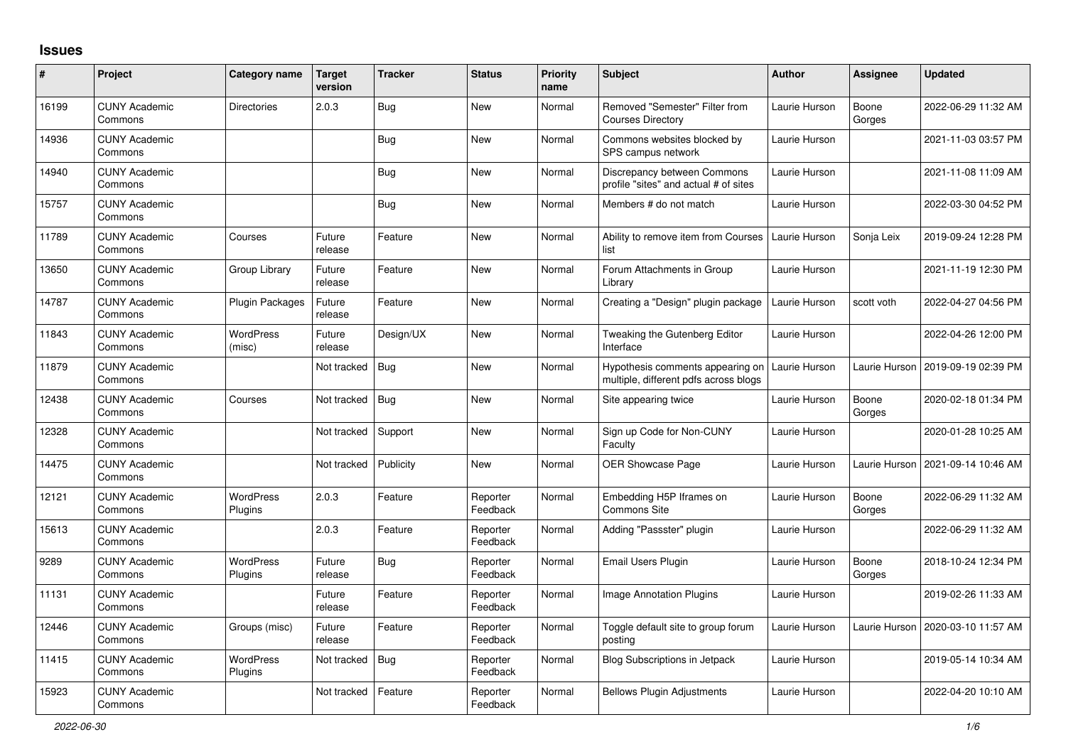## **Issues**

| #     | Project                         | Category name               | <b>Target</b><br>version | <b>Tracker</b> | <b>Status</b>        | <b>Priority</b><br>name | <b>Subject</b>                                                            | <b>Author</b> | <b>Assignee</b> | <b>Updated</b>      |
|-------|---------------------------------|-----------------------------|--------------------------|----------------|----------------------|-------------------------|---------------------------------------------------------------------------|---------------|-----------------|---------------------|
| 16199 | <b>CUNY Academic</b><br>Commons | <b>Directories</b>          | 2.0.3                    | Bug            | New                  | Normal                  | Removed "Semester" Filter from<br><b>Courses Directory</b>                | Laurie Hurson | Boone<br>Gorges | 2022-06-29 11:32 AM |
| 14936 | <b>CUNY Academic</b><br>Commons |                             |                          | <b>Bug</b>     | New                  | Normal                  | Commons websites blocked by<br>SPS campus network                         | Laurie Hurson |                 | 2021-11-03 03:57 PM |
| 14940 | <b>CUNY Academic</b><br>Commons |                             |                          | <b>Bug</b>     | New                  | Normal                  | Discrepancy between Commons<br>profile "sites" and actual # of sites      | Laurie Hurson |                 | 2021-11-08 11:09 AM |
| 15757 | <b>CUNY Academic</b><br>Commons |                             |                          | Bug            | New                  | Normal                  | Members # do not match                                                    | Laurie Hurson |                 | 2022-03-30 04:52 PM |
| 11789 | <b>CUNY Academic</b><br>Commons | Courses                     | Future<br>release        | Feature        | New                  | Normal                  | Ability to remove item from Courses<br>list                               | Laurie Hurson | Sonja Leix      | 2019-09-24 12:28 PM |
| 13650 | <b>CUNY Academic</b><br>Commons | Group Library               | Future<br>release        | Feature        | New                  | Normal                  | Forum Attachments in Group<br>Library                                     | Laurie Hurson |                 | 2021-11-19 12:30 PM |
| 14787 | <b>CUNY Academic</b><br>Commons | <b>Plugin Packages</b>      | Future<br>release        | Feature        | New                  | Normal                  | Creating a "Design" plugin package                                        | Laurie Hurson | scott voth      | 2022-04-27 04:56 PM |
| 11843 | <b>CUNY Academic</b><br>Commons | <b>WordPress</b><br>(misc)  | Future<br>release        | Design/UX      | New                  | Normal                  | Tweaking the Gutenberg Editor<br>Interface                                | Laurie Hurson |                 | 2022-04-26 12:00 PM |
| 11879 | <b>CUNY Academic</b><br>Commons |                             | Not tracked              | <b>Bug</b>     | New                  | Normal                  | Hypothesis comments appearing on<br>multiple, different pdfs across blogs | Laurie Hurson | Laurie Hurson   | 2019-09-19 02:39 PM |
| 12438 | <b>CUNY Academic</b><br>Commons | Courses                     | Not tracked              | <b>Bug</b>     | New                  | Normal                  | Site appearing twice                                                      | Laurie Hurson | Boone<br>Gorges | 2020-02-18 01:34 PM |
| 12328 | <b>CUNY Academic</b><br>Commons |                             | Not tracked              | Support        | New                  | Normal                  | Sign up Code for Non-CUNY<br>Faculty                                      | Laurie Hurson |                 | 2020-01-28 10:25 AM |
| 14475 | <b>CUNY Academic</b><br>Commons |                             | Not tracked              | Publicity      | New                  | Normal                  | <b>OER Showcase Page</b>                                                  | Laurie Hurson | Laurie Hurson   | 2021-09-14 10:46 AM |
| 12121 | <b>CUNY Academic</b><br>Commons | <b>WordPress</b><br>Plugins | 2.0.3                    | Feature        | Reporter<br>Feedback | Normal                  | Embedding H5P Iframes on<br><b>Commons Site</b>                           | Laurie Hurson | Boone<br>Gorges | 2022-06-29 11:32 AM |
| 15613 | <b>CUNY Academic</b><br>Commons |                             | 2.0.3                    | Feature        | Reporter<br>Feedback | Normal                  | Adding "Passster" plugin                                                  | Laurie Hurson |                 | 2022-06-29 11:32 AM |
| 9289  | <b>CUNY Academic</b><br>Commons | <b>WordPress</b><br>Plugins | Future<br>release        | <b>Bug</b>     | Reporter<br>Feedback | Normal                  | <b>Email Users Plugin</b>                                                 | Laurie Hurson | Boone<br>Gorges | 2018-10-24 12:34 PM |
| 11131 | <b>CUNY Academic</b><br>Commons |                             | Future<br>release        | Feature        | Reporter<br>Feedback | Normal                  | <b>Image Annotation Plugins</b>                                           | Laurie Hurson |                 | 2019-02-26 11:33 AM |
| 12446 | <b>CUNY Academic</b><br>Commons | Groups (misc)               | Future<br>release        | Feature        | Reporter<br>Feedback | Normal                  | Toggle default site to group forum<br>posting                             | Laurie Hurson | Laurie Hurson   | 2020-03-10 11:57 AM |
| 11415 | <b>CUNY Academic</b><br>Commons | <b>WordPress</b><br>Plugins | Not tracked              | <b>Bug</b>     | Reporter<br>Feedback | Normal                  | <b>Blog Subscriptions in Jetpack</b>                                      | Laurie Hurson |                 | 2019-05-14 10:34 AM |
| 15923 | <b>CUNY Academic</b><br>Commons |                             | Not tracked              | Feature        | Reporter<br>Feedback | Normal                  | <b>Bellows Plugin Adjustments</b>                                         | Laurie Hurson |                 | 2022-04-20 10:10 AM |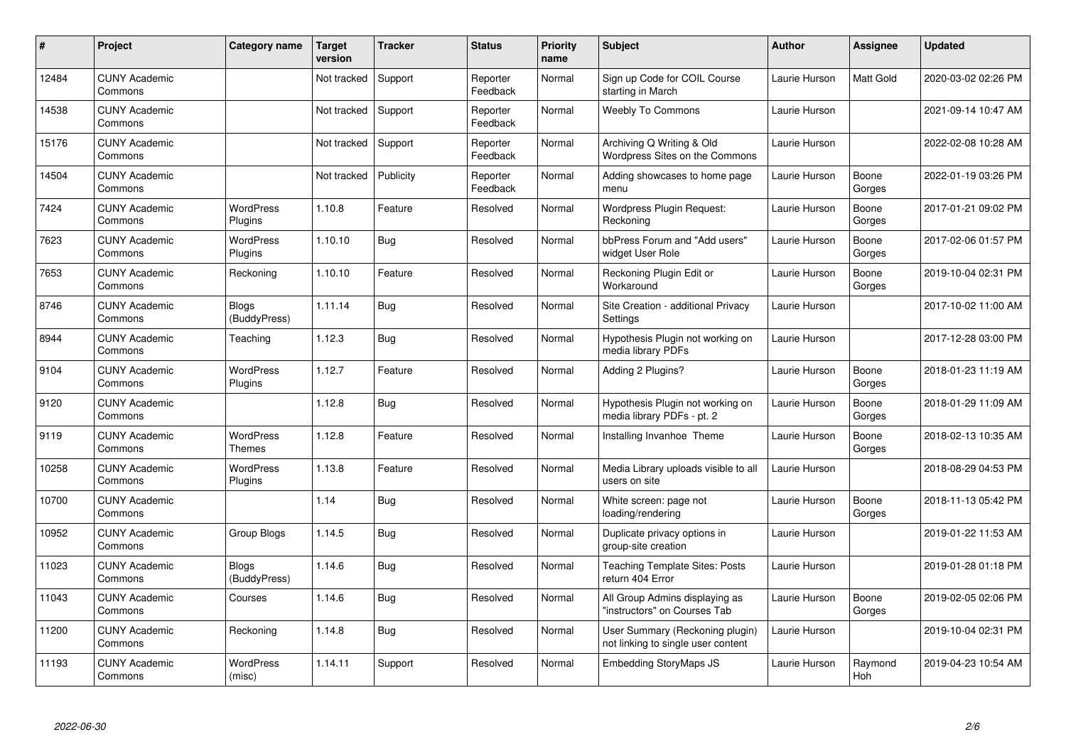| #     | Project                         | Category name                | Target<br>version | <b>Tracker</b> | <b>Status</b>        | <b>Priority</b><br>name | <b>Subject</b>                                                        | <b>Author</b> | <b>Assignee</b> | <b>Updated</b>      |
|-------|---------------------------------|------------------------------|-------------------|----------------|----------------------|-------------------------|-----------------------------------------------------------------------|---------------|-----------------|---------------------|
| 12484 | <b>CUNY Academic</b><br>Commons |                              | Not tracked       | Support        | Reporter<br>Feedback | Normal                  | Sign up Code for COIL Course<br>starting in March                     | Laurie Hurson | Matt Gold       | 2020-03-02 02:26 PM |
| 14538 | <b>CUNY Academic</b><br>Commons |                              | Not tracked       | Support        | Reporter<br>Feedback | Normal                  | <b>Weebly To Commons</b>                                              | Laurie Hurson |                 | 2021-09-14 10:47 AM |
| 15176 | <b>CUNY Academic</b><br>Commons |                              | Not tracked       | Support        | Reporter<br>Feedback | Normal                  | Archiving Q Writing & Old<br>Wordpress Sites on the Commons           | Laurie Hurson |                 | 2022-02-08 10:28 AM |
| 14504 | <b>CUNY Academic</b><br>Commons |                              | Not tracked       | Publicity      | Reporter<br>Feedback | Normal                  | Adding showcases to home page<br>menu                                 | Laurie Hurson | Boone<br>Gorges | 2022-01-19 03:26 PM |
| 7424  | <b>CUNY Academic</b><br>Commons | <b>WordPress</b><br>Plugins  | 1.10.8            | Feature        | Resolved             | Normal                  | Wordpress Plugin Request:<br>Reckoning                                | Laurie Hurson | Boone<br>Gorges | 2017-01-21 09:02 PM |
| 7623  | <b>CUNY Academic</b><br>Commons | <b>WordPress</b><br>Plugins  | 1.10.10           | <b>Bug</b>     | Resolved             | Normal                  | bbPress Forum and "Add users"<br>widget User Role                     | Laurie Hurson | Boone<br>Gorges | 2017-02-06 01:57 PM |
| 7653  | <b>CUNY Academic</b><br>Commons | Reckoning                    | 1.10.10           | Feature        | Resolved             | Normal                  | Reckoning Plugin Edit or<br>Workaround                                | Laurie Hurson | Boone<br>Gorges | 2019-10-04 02:31 PM |
| 8746  | <b>CUNY Academic</b><br>Commons | <b>Blogs</b><br>(BuddyPress) | 1.11.14           | <b>Bug</b>     | Resolved             | Normal                  | Site Creation - additional Privacy<br>Settings                        | Laurie Hurson |                 | 2017-10-02 11:00 AM |
| 8944  | <b>CUNY Academic</b><br>Commons | Teaching                     | 1.12.3            | Bug            | Resolved             | Normal                  | Hypothesis Plugin not working on<br>media library PDFs                | Laurie Hurson |                 | 2017-12-28 03:00 PM |
| 9104  | <b>CUNY Academic</b><br>Commons | <b>WordPress</b><br>Plugins  | 1.12.7            | Feature        | Resolved             | Normal                  | Adding 2 Plugins?                                                     | Laurie Hurson | Boone<br>Gorges | 2018-01-23 11:19 AM |
| 9120  | <b>CUNY Academic</b><br>Commons |                              | 1.12.8            | Bug            | Resolved             | Normal                  | Hypothesis Plugin not working on<br>media library PDFs - pt. 2        | Laurie Hurson | Boone<br>Gorges | 2018-01-29 11:09 AM |
| 9119  | <b>CUNY Academic</b><br>Commons | <b>WordPress</b><br>Themes   | 1.12.8            | Feature        | Resolved             | Normal                  | Installing Invanhoe Theme                                             | Laurie Hurson | Boone<br>Gorges | 2018-02-13 10:35 AM |
| 10258 | <b>CUNY Academic</b><br>Commons | <b>WordPress</b><br>Plugins  | 1.13.8            | Feature        | Resolved             | Normal                  | Media Library uploads visible to all<br>users on site                 | Laurie Hurson |                 | 2018-08-29 04:53 PM |
| 10700 | <b>CUNY Academic</b><br>Commons |                              | 1.14              | Bug            | Resolved             | Normal                  | White screen: page not<br>loading/rendering                           | Laurie Hurson | Boone<br>Gorges | 2018-11-13 05:42 PM |
| 10952 | <b>CUNY Academic</b><br>Commons | Group Blogs                  | 1.14.5            | <b>Bug</b>     | Resolved             | Normal                  | Duplicate privacy options in<br>group-site creation                   | Laurie Hurson |                 | 2019-01-22 11:53 AM |
| 11023 | <b>CUNY Academic</b><br>Commons | <b>Blogs</b><br>(BuddyPress) | 1.14.6            | Bug            | Resolved             | Normal                  | Teaching Template Sites: Posts<br>return 404 Error                    | Laurie Hurson |                 | 2019-01-28 01:18 PM |
| 11043 | <b>CUNY Academic</b><br>Commons | Courses                      | 1.14.6            | <b>Bug</b>     | Resolved             | Normal                  | All Group Admins displaying as<br>'instructors" on Courses Tab        | Laurie Hurson | Boone<br>Gorges | 2019-02-05 02:06 PM |
| 11200 | <b>CUNY Academic</b><br>Commons | Reckoning                    | 1.14.8            | Bug            | Resolved             | Normal                  | User Summary (Reckoning plugin)<br>not linking to single user content | Laurie Hurson |                 | 2019-10-04 02:31 PM |
| 11193 | <b>CUNY Academic</b><br>Commons | WordPress<br>(misc)          | 1.14.11           | Support        | Resolved             | Normal                  | <b>Embedding StoryMaps JS</b>                                         | Laurie Hurson | Raymond<br>Hoh  | 2019-04-23 10:54 AM |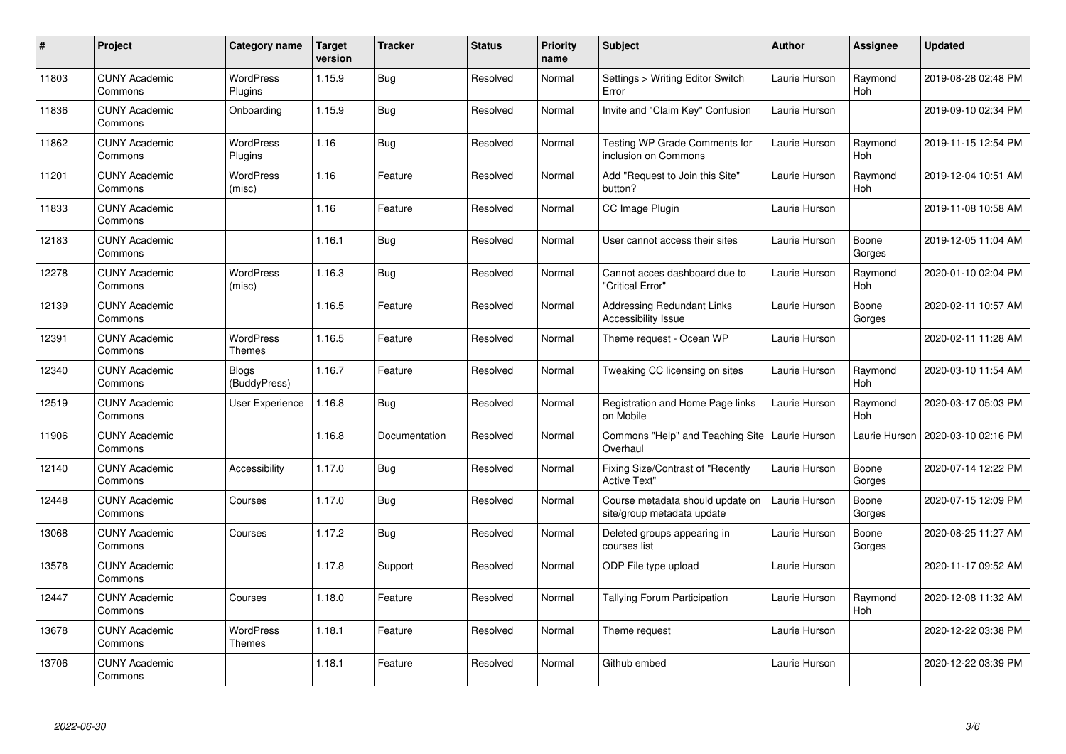| $\pmb{\#}$ | Project                         | Category name                | <b>Target</b><br>version | <b>Tracker</b> | <b>Status</b> | <b>Priority</b><br>name | <b>Subject</b>                                                  | <b>Author</b> | <b>Assignee</b> | <b>Updated</b>      |
|------------|---------------------------------|------------------------------|--------------------------|----------------|---------------|-------------------------|-----------------------------------------------------------------|---------------|-----------------|---------------------|
| 11803      | <b>CUNY Academic</b><br>Commons | <b>WordPress</b><br>Plugins  | 1.15.9                   | <b>Bug</b>     | Resolved      | Normal                  | Settings > Writing Editor Switch<br>Error                       | Laurie Hurson | Raymond<br>Hoh  | 2019-08-28 02:48 PM |
| 11836      | <b>CUNY Academic</b><br>Commons | Onboarding                   | 1.15.9                   | Bug            | Resolved      | Normal                  | Invite and "Claim Key" Confusion                                | Laurie Hurson |                 | 2019-09-10 02:34 PM |
| 11862      | <b>CUNY Academic</b><br>Commons | WordPress<br>Plugins         | 1.16                     | <b>Bug</b>     | Resolved      | Normal                  | Testing WP Grade Comments for<br>inclusion on Commons           | Laurie Hurson | Raymond<br>Hoh  | 2019-11-15 12:54 PM |
| 11201      | <b>CUNY Academic</b><br>Commons | <b>WordPress</b><br>(misc)   | 1.16                     | Feature        | Resolved      | Normal                  | Add "Request to Join this Site"<br>button?                      | Laurie Hurson | Raymond<br>Hoh  | 2019-12-04 10:51 AM |
| 11833      | <b>CUNY Academic</b><br>Commons |                              | 1.16                     | Feature        | Resolved      | Normal                  | CC Image Plugin                                                 | Laurie Hurson |                 | 2019-11-08 10:58 AM |
| 12183      | <b>CUNY Academic</b><br>Commons |                              | 1.16.1                   | <b>Bug</b>     | Resolved      | Normal                  | User cannot access their sites                                  | Laurie Hurson | Boone<br>Gorges | 2019-12-05 11:04 AM |
| 12278      | <b>CUNY Academic</b><br>Commons | <b>WordPress</b><br>(misc)   | 1.16.3                   | <b>Bug</b>     | Resolved      | Normal                  | Cannot acces dashboard due to<br>'Critical Error"               | Laurie Hurson | Raymond<br>Hoh  | 2020-01-10 02:04 PM |
| 12139      | <b>CUNY Academic</b><br>Commons |                              | 1.16.5                   | Feature        | Resolved      | Normal                  | <b>Addressing Redundant Links</b><br>Accessibility Issue        | Laurie Hurson | Boone<br>Gorges | 2020-02-11 10:57 AM |
| 12391      | <b>CUNY Academic</b><br>Commons | <b>WordPress</b><br>Themes   | 1.16.5                   | Feature        | Resolved      | Normal                  | Theme request - Ocean WP                                        | Laurie Hurson |                 | 2020-02-11 11:28 AM |
| 12340      | <b>CUNY Academic</b><br>Commons | <b>Blogs</b><br>(BuddyPress) | 1.16.7                   | Feature        | Resolved      | Normal                  | Tweaking CC licensing on sites                                  | Laurie Hurson | Raymond<br>Hoh  | 2020-03-10 11:54 AM |
| 12519      | <b>CUNY Academic</b><br>Commons | User Experience              | 1.16.8                   | <b>Bug</b>     | Resolved      | Normal                  | Registration and Home Page links<br>on Mobile                   | Laurie Hurson | Raymond<br>Hoh  | 2020-03-17 05:03 PM |
| 11906      | <b>CUNY Academic</b><br>Commons |                              | 1.16.8                   | Documentation  | Resolved      | Normal                  | Commons "Help" and Teaching Site<br>Overhaul                    | Laurie Hurson | Laurie Hurson   | 2020-03-10 02:16 PM |
| 12140      | <b>CUNY Academic</b><br>Commons | Accessibility                | 1.17.0                   | Bug            | Resolved      | Normal                  | <b>Fixing Size/Contrast of "Recently</b><br><b>Active Text"</b> | Laurie Hurson | Boone<br>Gorges | 2020-07-14 12:22 PM |
| 12448      | <b>CUNY Academic</b><br>Commons | Courses                      | 1.17.0                   | <b>Bug</b>     | Resolved      | Normal                  | Course metadata should update on<br>site/group metadata update  | Laurie Hurson | Boone<br>Gorges | 2020-07-15 12:09 PM |
| 13068      | <b>CUNY Academic</b><br>Commons | Courses                      | 1.17.2                   | <b>Bug</b>     | Resolved      | Normal                  | Deleted groups appearing in<br>courses list                     | Laurie Hurson | Boone<br>Gorges | 2020-08-25 11:27 AM |
| 13578      | <b>CUNY Academic</b><br>Commons |                              | 1.17.8                   | Support        | Resolved      | Normal                  | ODP File type upload                                            | Laurie Hurson |                 | 2020-11-17 09:52 AM |
| 12447      | <b>CUNY Academic</b><br>Commons | Courses                      | 1.18.0                   | Feature        | Resolved      | Normal                  | Tallying Forum Participation                                    | Laurie Hurson | Raymond<br>Hoh  | 2020-12-08 11:32 AM |
| 13678      | <b>CUNY Academic</b><br>Commons | WordPress<br>Themes          | 1.18.1                   | Feature        | Resolved      | Normal                  | Theme request                                                   | Laurie Hurson |                 | 2020-12-22 03:38 PM |
| 13706      | <b>CUNY Academic</b><br>Commons |                              | 1.18.1                   | Feature        | Resolved      | Normal                  | Github embed                                                    | Laurie Hurson |                 | 2020-12-22 03:39 PM |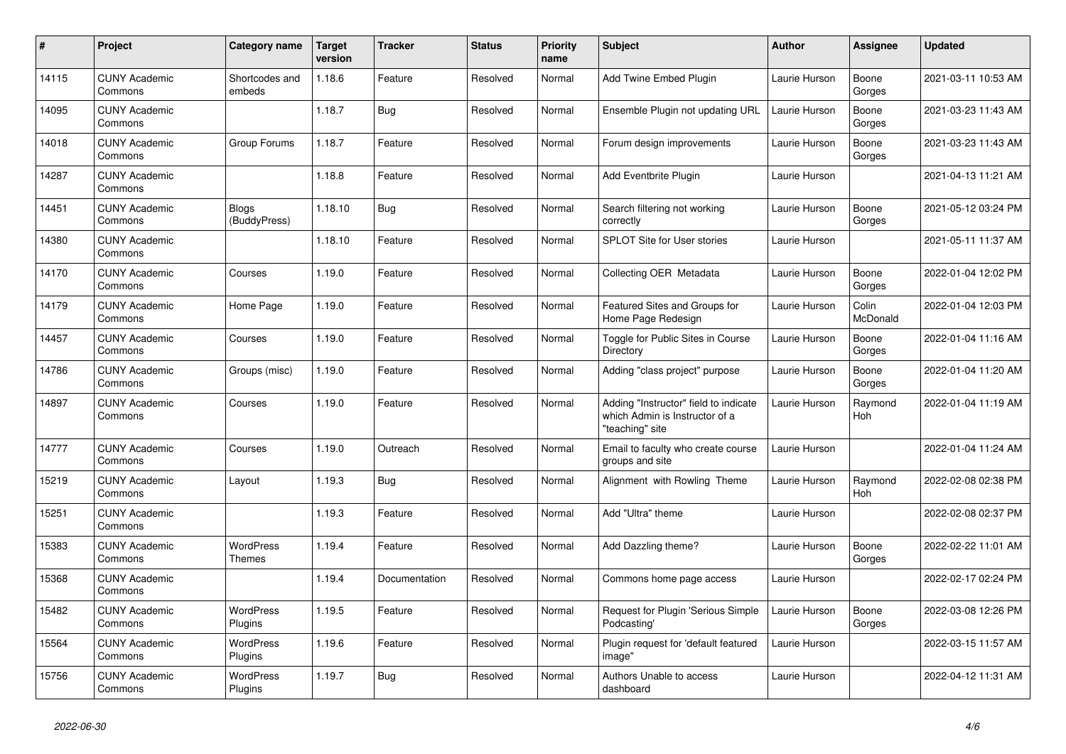| $\#$  | <b>Project</b>                  | Category name                | <b>Target</b><br>version | <b>Tracker</b> | <b>Status</b> | <b>Priority</b><br>name | <b>Subject</b>                                                                             | <b>Author</b> | Assignee                 | Updated             |
|-------|---------------------------------|------------------------------|--------------------------|----------------|---------------|-------------------------|--------------------------------------------------------------------------------------------|---------------|--------------------------|---------------------|
| 14115 | <b>CUNY Academic</b><br>Commons | Shortcodes and<br>embeds     | 1.18.6                   | Feature        | Resolved      | Normal                  | Add Twine Embed Plugin                                                                     | Laurie Hurson | Boone<br>Gorges          | 2021-03-11 10:53 AM |
| 14095 | <b>CUNY Academic</b><br>Commons |                              | 1.18.7                   | <b>Bug</b>     | Resolved      | Normal                  | Ensemble Plugin not updating URL                                                           | Laurie Hurson | Boone<br>Gorges          | 2021-03-23 11:43 AM |
| 14018 | <b>CUNY Academic</b><br>Commons | Group Forums                 | 1.18.7                   | Feature        | Resolved      | Normal                  | Forum design improvements                                                                  | Laurie Hurson | Boone<br>Gorges          | 2021-03-23 11:43 AM |
| 14287 | <b>CUNY Academic</b><br>Commons |                              | 1.18.8                   | Feature        | Resolved      | Normal                  | Add Eventbrite Plugin                                                                      | Laurie Hurson |                          | 2021-04-13 11:21 AM |
| 14451 | <b>CUNY Academic</b><br>Commons | <b>Blogs</b><br>(BuddyPress) | 1.18.10                  | <b>Bug</b>     | Resolved      | Normal                  | Search filtering not working<br>correctly                                                  | Laurie Hurson | Boone<br>Gorges          | 2021-05-12 03:24 PM |
| 14380 | <b>CUNY Academic</b><br>Commons |                              | 1.18.10                  | Feature        | Resolved      | Normal                  | <b>SPLOT Site for User stories</b>                                                         | Laurie Hurson |                          | 2021-05-11 11:37 AM |
| 14170 | <b>CUNY Academic</b><br>Commons | Courses                      | 1.19.0                   | Feature        | Resolved      | Normal                  | Collecting OER Metadata                                                                    | Laurie Hurson | Boone<br>Gorges          | 2022-01-04 12:02 PM |
| 14179 | <b>CUNY Academic</b><br>Commons | Home Page                    | 1.19.0                   | Feature        | Resolved      | Normal                  | Featured Sites and Groups for<br>Home Page Redesign                                        | Laurie Hurson | Colin<br><b>McDonald</b> | 2022-01-04 12:03 PM |
| 14457 | <b>CUNY Academic</b><br>Commons | Courses                      | 1.19.0                   | Feature        | Resolved      | Normal                  | Toggle for Public Sites in Course<br>Directory                                             | Laurie Hurson | Boone<br>Gorges          | 2022-01-04 11:16 AM |
| 14786 | <b>CUNY Academic</b><br>Commons | Groups (misc)                | 1.19.0                   | Feature        | Resolved      | Normal                  | Adding "class project" purpose                                                             | Laurie Hurson | Boone<br>Gorges          | 2022-01-04 11:20 AM |
| 14897 | <b>CUNY Academic</b><br>Commons | Courses                      | 1.19.0                   | Feature        | Resolved      | Normal                  | Adding "Instructor" field to indicate<br>which Admin is Instructor of a<br>"teaching" site | Laurie Hurson | Raymond<br>Hoh           | 2022-01-04 11:19 AM |
| 14777 | <b>CUNY Academic</b><br>Commons | Courses                      | 1.19.0                   | Outreach       | Resolved      | Normal                  | Email to faculty who create course<br>groups and site                                      | Laurie Hurson |                          | 2022-01-04 11:24 AM |
| 15219 | <b>CUNY Academic</b><br>Commons | Layout                       | 1.19.3                   | Bug            | Resolved      | Normal                  | Alignment with Rowling Theme                                                               | Laurie Hurson | Raymond<br>Hoh           | 2022-02-08 02:38 PM |
| 15251 | <b>CUNY Academic</b><br>Commons |                              | 1.19.3                   | Feature        | Resolved      | Normal                  | Add "Ultra" theme                                                                          | Laurie Hurson |                          | 2022-02-08 02:37 PM |
| 15383 | <b>CUNY Academic</b><br>Commons | <b>WordPress</b><br>Themes   | 1.19.4                   | Feature        | Resolved      | Normal                  | Add Dazzling theme?                                                                        | Laurie Hurson | Boone<br>Gorges          | 2022-02-22 11:01 AM |
| 15368 | <b>CUNY Academic</b><br>Commons |                              | 1.19.4                   | Documentation  | Resolved      | Normal                  | Commons home page access                                                                   | Laurie Hurson |                          | 2022-02-17 02:24 PM |
| 15482 | <b>CUNY Academic</b><br>Commons | WordPress<br>Plugins         | 1.19.5                   | Feature        | Resolved      | Normal                  | Request for Plugin 'Serious Simple<br>Podcasting'                                          | Laurie Hurson | Boone<br>Gorges          | 2022-03-08 12:26 PM |
| 15564 | <b>CUNY Academic</b><br>Commons | WordPress<br>Plugins         | 1.19.6                   | Feature        | Resolved      | Normal                  | Plugin request for 'default featured<br>image"                                             | Laurie Hurson |                          | 2022-03-15 11:57 AM |
| 15756 | <b>CUNY Academic</b><br>Commons | WordPress<br>Plugins         | 1.19.7                   | <b>Bug</b>     | Resolved      | Normal                  | Authors Unable to access<br>dashboard                                                      | Laurie Hurson |                          | 2022-04-12 11:31 AM |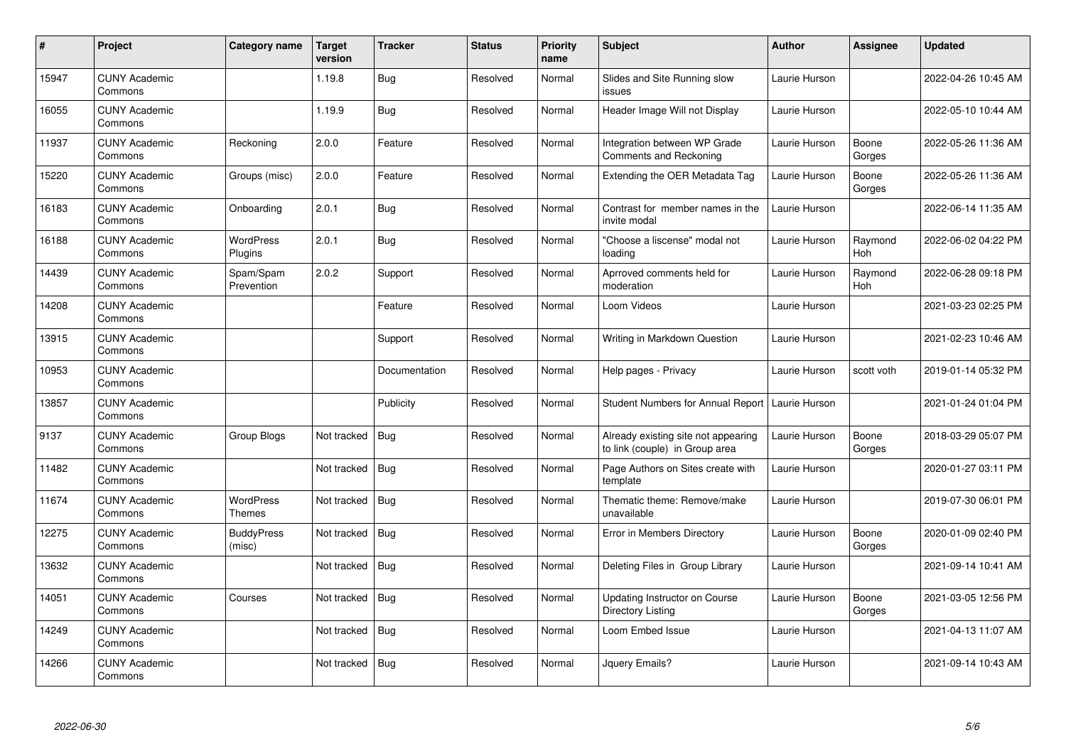| $\pmb{\#}$ | Project                         | Category name               | <b>Target</b><br>version | <b>Tracker</b> | <b>Status</b> | <b>Priority</b><br>name | <b>Subject</b>                                                        | <b>Author</b> | Assignee              | Updated             |
|------------|---------------------------------|-----------------------------|--------------------------|----------------|---------------|-------------------------|-----------------------------------------------------------------------|---------------|-----------------------|---------------------|
| 15947      | <b>CUNY Academic</b><br>Commons |                             | 1.19.8                   | Bug            | Resolved      | Normal                  | Slides and Site Running slow<br>issues                                | Laurie Hurson |                       | 2022-04-26 10:45 AM |
| 16055      | <b>CUNY Academic</b><br>Commons |                             | 1.19.9                   | <b>Bug</b>     | Resolved      | Normal                  | Header Image Will not Display                                         | Laurie Hurson |                       | 2022-05-10 10:44 AM |
| 11937      | <b>CUNY Academic</b><br>Commons | Reckoning                   | 2.0.0                    | Feature        | Resolved      | Normal                  | Integration between WP Grade<br>Comments and Reckoning                | Laurie Hurson | Boone<br>Gorges       | 2022-05-26 11:36 AM |
| 15220      | <b>CUNY Academic</b><br>Commons | Groups (misc)               | 2.0.0                    | Feature        | Resolved      | Normal                  | Extending the OER Metadata Tag                                        | Laurie Hurson | Boone<br>Gorges       | 2022-05-26 11:36 AM |
| 16183      | <b>CUNY Academic</b><br>Commons | Onboarding                  | 2.0.1                    | Bug            | Resolved      | Normal                  | Contrast for member names in the<br>invite modal                      | Laurie Hurson |                       | 2022-06-14 11:35 AM |
| 16188      | <b>CUNY Academic</b><br>Commons | <b>WordPress</b><br>Plugins | 2.0.1                    | <b>Bug</b>     | Resolved      | Normal                  | "Choose a liscense" modal not<br>loading                              | Laurie Hurson | Raymond<br>Hoh        | 2022-06-02 04:22 PM |
| 14439      | <b>CUNY Academic</b><br>Commons | Spam/Spam<br>Prevention     | 2.0.2                    | Support        | Resolved      | Normal                  | Aprroved comments held for<br>moderation                              | Laurie Hurson | Raymond<br><b>Hoh</b> | 2022-06-28 09:18 PM |
| 14208      | <b>CUNY Academic</b><br>Commons |                             |                          | Feature        | Resolved      | Normal                  | Loom Videos                                                           | Laurie Hurson |                       | 2021-03-23 02:25 PM |
| 13915      | <b>CUNY Academic</b><br>Commons |                             |                          | Support        | Resolved      | Normal                  | Writing in Markdown Question                                          | Laurie Hurson |                       | 2021-02-23 10:46 AM |
| 10953      | <b>CUNY Academic</b><br>Commons |                             |                          | Documentation  | Resolved      | Normal                  | Help pages - Privacy                                                  | Laurie Hurson | scott voth            | 2019-01-14 05:32 PM |
| 13857      | <b>CUNY Academic</b><br>Commons |                             |                          | Publicity      | Resolved      | Normal                  | <b>Student Numbers for Annual Report</b>                              | Laurie Hurson |                       | 2021-01-24 01:04 PM |
| 9137       | <b>CUNY Academic</b><br>Commons | Group Blogs                 | Not tracked              | Bug            | Resolved      | Normal                  | Already existing site not appearing<br>to link (couple) in Group area | Laurie Hurson | Boone<br>Gorges       | 2018-03-29 05:07 PM |
| 11482      | <b>CUNY Academic</b><br>Commons |                             | Not tracked              | Bug            | Resolved      | Normal                  | Page Authors on Sites create with<br>template                         | Laurie Hurson |                       | 2020-01-27 03:11 PM |
| 11674      | <b>CUNY Academic</b><br>Commons | <b>WordPress</b><br>Themes  | Not tracked              | Bug            | Resolved      | Normal                  | Thematic theme: Remove/make<br>unavailable                            | Laurie Hurson |                       | 2019-07-30 06:01 PM |
| 12275      | <b>CUNY Academic</b><br>Commons | <b>BuddyPress</b><br>(misc) | Not tracked              | <b>Bug</b>     | Resolved      | Normal                  | Error in Members Directory                                            | Laurie Hurson | Boone<br>Gorges       | 2020-01-09 02:40 PM |
| 13632      | <b>CUNY Academic</b><br>Commons |                             | Not tracked              | Bug            | Resolved      | Normal                  | Deleting Files in Group Library                                       | Laurie Hurson |                       | 2021-09-14 10:41 AM |
| 14051      | <b>CUNY Academic</b><br>Commons | Courses                     | Not tracked              | Bug            | Resolved      | Normal                  | Updating Instructor on Course<br>Directory Listing                    | Laurie Hurson | Boone<br>Gorges       | 2021-03-05 12:56 PM |
| 14249      | <b>CUNY Academic</b><br>Commons |                             | Not tracked              | Bug            | Resolved      | Normal                  | Loom Embed Issue                                                      | Laurie Hurson |                       | 2021-04-13 11:07 AM |
| 14266      | <b>CUNY Academic</b><br>Commons |                             | Not tracked              | <b>Bug</b>     | Resolved      | Normal                  | Jquery Emails?                                                        | Laurie Hurson |                       | 2021-09-14 10:43 AM |